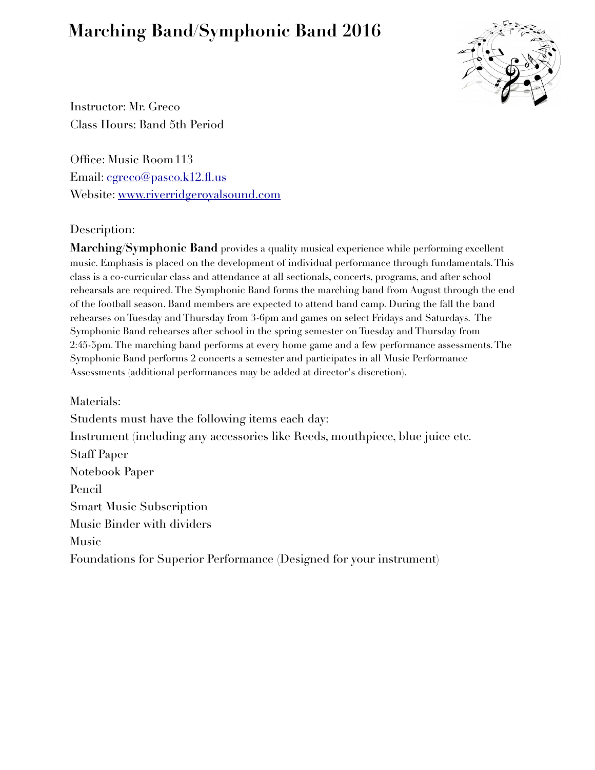# **Marching Band/Symphonic Band 2016**



Instructor: Mr. Greco Class Hours: Band 5th Period

Office: Music Room 113 Email: [cgreco@pasco.k12.fl.us](mailto:cgreco@pasco.k12.fl.us) Website: [www.riverridgeroyalsound.com](http://www.riverridgeroyalsound.com)

# Description:

**Marching**/**Symphonic Band** provides a quality musical experience while performing excellent music. Emphasis is placed on the development of individual performance through fundamentals. This class is a co-curricular class and attendance at all sectionals, concerts, programs, and after school rehearsals are required. The Symphonic Band forms the marching band from August through the end of the football season. Band members are expected to attend band camp. During the fall the band rehearses on Tuesday and Thursday from 3-6pm and games on select Fridays and Saturdays. The Symphonic Band rehearses after school in the spring semester on Tuesday and Thursday from 2:45-5pm. The marching band performs at every home game and a few performance assessments. The Symphonic Band performs 2 concerts a semester and participates in all Music Performance Assessments (additional performances may be added at director's discretion).

Materials: Students must have the following items each day: Instrument (including any accessories like Reeds, mouthpiece, blue juice etc. Staff Paper Notebook Paper Pencil Smart Music Subscription Music Binder with dividers Music Foundations for Superior Performance (Designed for your instrument)